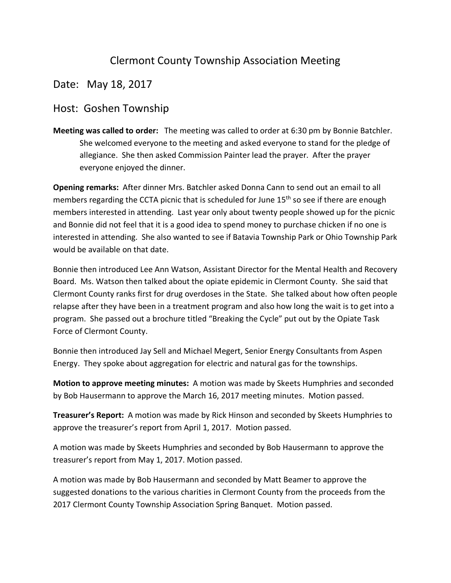## Clermont County Township Association Meeting

## Date: May 18, 2017

## Host: Goshen Township

**Meeting was called to order:** The meeting was called to order at 6:30 pm by Bonnie Batchler. She welcomed everyone to the meeting and asked everyone to stand for the pledge of allegiance. She then asked Commission Painter lead the prayer. After the prayer everyone enjoyed the dinner.

**Opening remarks:** After dinner Mrs. Batchler asked Donna Cann to send out an email to all members regarding the CCTA picnic that is scheduled for June  $15<sup>th</sup>$  so see if there are enough members interested in attending. Last year only about twenty people showed up for the picnic and Bonnie did not feel that it is a good idea to spend money to purchase chicken if no one is interested in attending. She also wanted to see if Batavia Township Park or Ohio Township Park would be available on that date.

Bonnie then introduced Lee Ann Watson, Assistant Director for the Mental Health and Recovery Board. Ms. Watson then talked about the opiate epidemic in Clermont County. She said that Clermont County ranks first for drug overdoses in the State. She talked about how often people relapse after they have been in a treatment program and also how long the wait is to get into a program. She passed out a brochure titled "Breaking the Cycle" put out by the Opiate Task Force of Clermont County.

Bonnie then introduced Jay Sell and Michael Megert, Senior Energy Consultants from Aspen Energy. They spoke about aggregation for electric and natural gas for the townships.

**Motion to approve meeting minutes:** A motion was made by Skeets Humphries and seconded by Bob Hausermann to approve the March 16, 2017 meeting minutes. Motion passed.

**Treasurer's Report:** A motion was made by Rick Hinson and seconded by Skeets Humphries to approve the treasurer's report from April 1, 2017. Motion passed.

A motion was made by Skeets Humphries and seconded by Bob Hausermann to approve the treasurer's report from May 1, 2017. Motion passed.

A motion was made by Bob Hausermann and seconded by Matt Beamer to approve the suggested donations to the various charities in Clermont County from the proceeds from the 2017 Clermont County Township Association Spring Banquet. Motion passed.